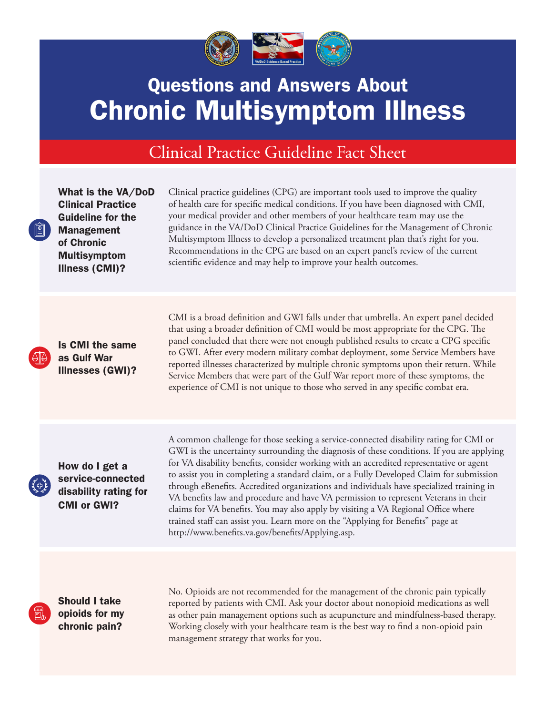

## Questions and Answers About Chronic Multisymptom Illness

## Clinical Practice Guideline Fact Sheet

What is the VA/DoD Clinical Practice Guideline for the Management of Chronic Multisymptom Illness (CMI)?

Clinical practice guidelines (CPG) are important tools used to improve the quality of health care for specific medical conditions. If you have been diagnosed with CMI, your medical provider and other members of your healthcare team may use the guidance in the VA/DoD Clinical Practice Guidelines for the Management of Chronic Multisymptom Illness to develop a personalized treatment plan that's right for you. Recommendations in the CPG are based on an expert panel's review of the current scientific evidence and may help to improve your health outcomes.

Is CMI the same as Gulf War Illnesses (GWI)? CMI is a broad definition and GWI falls under that umbrella. An expert panel decided that using a broader definition of CMI would be most appropriate for the CPG. The panel concluded that there were not enough published results to create a CPG specific to GWI. After every modern military combat deployment, some Service Members have reported illnesses characterized by multiple chronic symptoms upon their return. While Service Members that were part of the Gulf War report more of these symptoms, the experience of CMI is not unique to those who served in any specific combat era.

How do I get a service-connected disability rating for CMI or GWI?

A common challenge for those seeking a service-connected disability rating for CMI or GWI is the uncertainty surrounding the diagnosis of these conditions. If you are applying for VA disability benefits, consider working with an accredited representative or agent to assist you in completing a standard claim, or a Fully Developed Claim for submission through eBenefits. Accredited organizations and individuals have specialized training in VA benefits law and procedure and have VA permission to represent Veterans in their claims for VA benefits. You may also apply by visiting a VA Regional Office where trained staff can assist you. Learn more on the "Applying for Benefits" page at http://www.benefits.va.gov/benefits/Applying.asp.

Should I take opioids for my chronic pain?

No. Opioids are not recommended for the management of the chronic pain typically reported by patients with CMI. Ask your doctor about nonopioid medications as well as other pain management options such as acupuncture and mindfulness-based therapy. Working closely with your healthcare team is the best way to find a non-opioid pain management strategy that works for you.